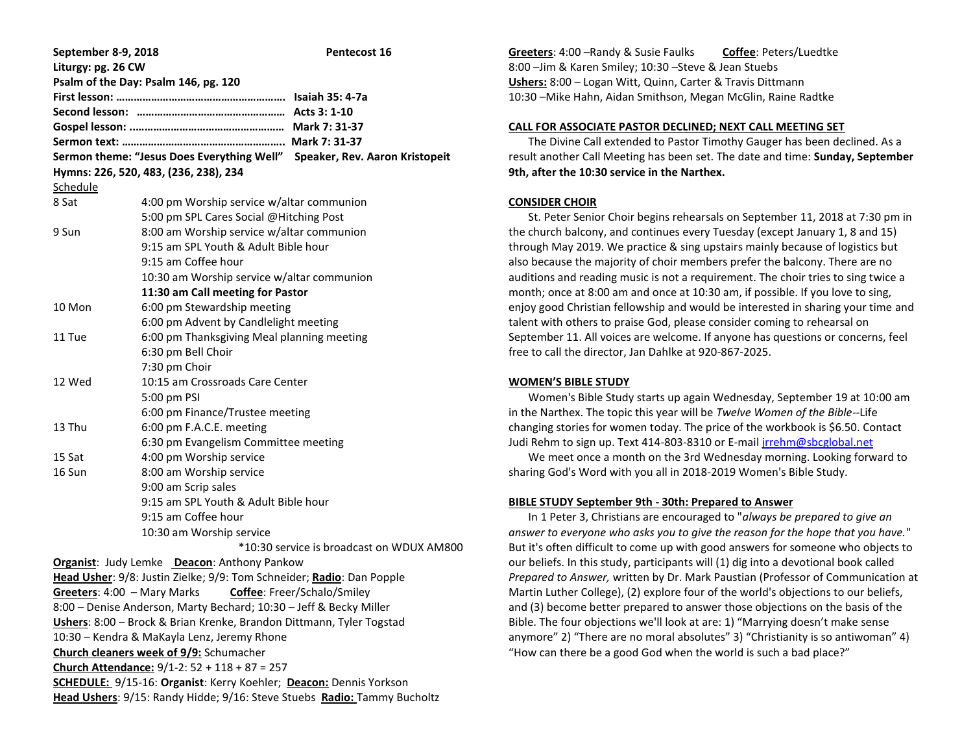| September 8-9, 2018 |                                                                           | Pentecost 16                                                              |  |  |
|---------------------|---------------------------------------------------------------------------|---------------------------------------------------------------------------|--|--|
| Liturgy: pg. 26 CW  |                                                                           |                                                                           |  |  |
|                     | Psalm of the Day: Psalm 146, pg. 120                                      |                                                                           |  |  |
|                     |                                                                           |                                                                           |  |  |
|                     |                                                                           |                                                                           |  |  |
|                     |                                                                           |                                                                           |  |  |
|                     |                                                                           |                                                                           |  |  |
|                     |                                                                           | Sermon theme: "Jesus Does Everything Well" Speaker, Rev. Aaron Kristopeit |  |  |
|                     | Hymns: 226, 520, 483, (236, 238), 234                                     |                                                                           |  |  |
| <b>Schedule</b>     |                                                                           |                                                                           |  |  |
| 8 Sat               | 4:00 pm Worship service w/altar communion                                 |                                                                           |  |  |
|                     | 5:00 pm SPL Cares Social @Hitching Post                                   |                                                                           |  |  |
| 9 Sun               | 8:00 am Worship service w/altar communion                                 |                                                                           |  |  |
|                     | 9:15 am SPL Youth & Adult Bible hour                                      |                                                                           |  |  |
|                     | 9:15 am Coffee hour                                                       |                                                                           |  |  |
|                     | 10:30 am Worship service w/altar communion                                |                                                                           |  |  |
|                     | 11:30 am Call meeting for Pastor                                          |                                                                           |  |  |
| 10 Mon              | 6:00 pm Stewardship meeting                                               |                                                                           |  |  |
|                     | 6:00 pm Advent by Candlelight meeting                                     |                                                                           |  |  |
| 11 Tue              | 6:00 pm Thanksgiving Meal planning meeting                                |                                                                           |  |  |
|                     | 6:30 pm Bell Choir                                                        |                                                                           |  |  |
|                     | 7:30 pm Choir                                                             |                                                                           |  |  |
| 12 Wed              | 10:15 am Crossroads Care Center                                           |                                                                           |  |  |
|                     | 5:00 pm PSI                                                               |                                                                           |  |  |
|                     | 6:00 pm Finance/Trustee meeting                                           |                                                                           |  |  |
| 13 Thu              | 6:00 pm F.A.C.E. meeting                                                  |                                                                           |  |  |
|                     | 6:30 pm Evangelism Committee meeting                                      |                                                                           |  |  |
| 15 Sat              | 4:00 pm Worship service                                                   |                                                                           |  |  |
| 16 Sun              | 8:00 am Worship service                                                   |                                                                           |  |  |
|                     | 9:00 am Scrip sales                                                       |                                                                           |  |  |
|                     | 9:15 am SPL Youth & Adult Bible hour                                      |                                                                           |  |  |
|                     | 9:15 am Coffee hour                                                       |                                                                           |  |  |
|                     | 10:30 am Worship service                                                  |                                                                           |  |  |
|                     |                                                                           | *10:30 service is broadcast on WDUX AM800                                 |  |  |
|                     | Organist: Judy Lemke Deacon: Anthony Pankow                               |                                                                           |  |  |
|                     | Head Usher: 9/8: Justin Zielke; 9/9: Tom Schneider; Radio: Dan Popple     |                                                                           |  |  |
|                     | Greeters: 4:00 - Mary Marks Coffee: Freer/Schalo/Smiley                   |                                                                           |  |  |
|                     | 8:00 - Denise Anderson, Marty Bechard; 10:30 - Jeff & Becky Miller        |                                                                           |  |  |
|                     | Ushers: 8:00 - Brock & Brian Krenke, Brandon Dittmann, Tyler Togstad      |                                                                           |  |  |
|                     | 10:30 - Kendra & MaKayla Lenz, Jeremy Rhone                               |                                                                           |  |  |
|                     | <b>Church cleaners week of 9/9:</b> Schumacher                            |                                                                           |  |  |
|                     | Church Attendance: 9/1-2: 52 + 118 + 87 = 257                             |                                                                           |  |  |
|                     | <b>SCHEDULE:</b> 9/15-16: Organist: Kerry Koehler; Deacon: Dennis Yorkson |                                                                           |  |  |
|                     | Head Ushers: 9/15: Randy Hidde; 9/16: Steve Stuebs Radio: Tammy Bucholtz  |                                                                           |  |  |

**Greeters**: 4:00 –Randy & Susie Faulks **Coffee**: Peters/Luedtke 8:00 –Jim & Karen Smiley; 10:30 –Steve & Jean Stuebs **Ushers:** 8:00 – Logan Witt, Quinn, Carter & Travis Dittmann 10:30 –Mike Hahn, Aidan Smithson, Megan McGlin, Raine Radtke

# **CALL FOR ASSOCIATE PASTOR DECLINED; NEXT CALL MEETING SET**

 The Divine Call extended to Pastor Timothy Gauger has been declined. As a result another Call Meeting has been set. The date and time: **Sunday, September 9th, after the 10:30 service in the Narthex.**

### **CONSIDER CHOIR**

 St. Peter Senior Choir begins rehearsals on September 11, 2018 at 7:30 pm in the church balcony, and continues every Tuesday (except January 1, 8 and 15) through May 2019. We practice & sing upstairs mainly because of logistics but also because the majority of choir members prefer the balcony. There are no auditions and reading music is not a requirement. The choir tries to sing twice a month; once at 8:00 am and once at 10:30 am, if possible. If you love to sing, enjoy good Christian fellowship and would be interested in sharing your time and talent with others to praise God, please consider coming to rehearsal on September 11. All voices are welcome. If anyone has questions or concerns, feel free to call the director, Jan Dahlke at 920-867-2025.

### **WOMEN'S BIBLE STUDY**

 Women's Bible Study starts up again Wednesday, September 19 at 10:00 am in the Narthex. The topic this year will be *Twelve Women of the Bible--*Life changing stories for women today. The price of the workbook is \$6.50. Contact Judi Rehm to sign up. Text 414-803-8310 or E-mail [jrrehm@sbcglobal.net](mailto:jrrehm@sbcglobal.net)

 We meet once a month on the 3rd Wednesday morning. Looking forward to sharing God's Word with you all in 2018-2019 Women's Bible Study.

### **BIBLE STUDY September 9th - 30th: Prepared to Answer**

 In 1 Peter 3, Christians are encouraged to "*always be prepared to give an answer to everyone who asks you to give the reason for the hope that you have.*" But it's often difficult to come up with good answers for someone who objects to our beliefs. In this study, participants will (1) dig into a devotional book called *Prepared to Answer,* written by Dr. Mark Paustian (Professor of Communication at Martin Luther College), (2) explore four of the world's objections to our beliefs, and (3) become better prepared to answer those objections on the basis of the Bible. The four objections we'll look at are: 1) "Marrying doesn't make sense anymore" 2) "There are no moral absolutes" 3) "Christianity is so antiwoman" 4) "How can there be a good God when the world is such a bad place?"